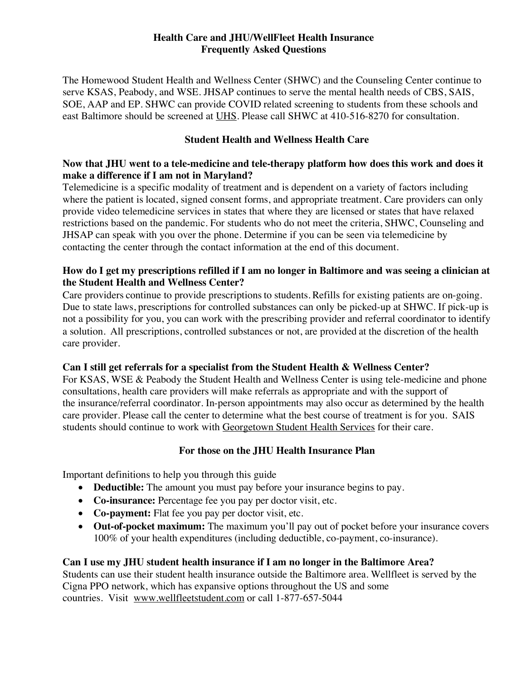# **Health Care and JHU/WellFleet Health Insurance Frequently Asked Questions**

The Homewood Student Health and Wellness Center (SHWC) and the Counseling Center continue to serve KSAS, Peabody, and WSE. JHSAP continues to serve the mental health needs of CBS, SAIS, SOE, AAP and EP. SHWC can provide COVID related screening to students from these schools and east Baltimore should be screened at UHS. Please call SHWC at 410-516-8270 for consultation.

## **Student Health and Wellness Health Care**

## **Now that JHU went to a tele-medicine and tele-therapy platform how does this work and does it make a difference if I am not in Maryland?**

Telemedicine is a specific modality of treatment and is dependent on a variety of factors including where the patient is located, signed consent forms, and appropriate treatment. Care providers can only provide video telemedicine services in states that where they are licensed or states that have relaxed restrictions based on the pandemic. For students who do not meet the criteria, SHWC, Counseling and JHSAP can speak with you over the phone. Determine if you can be seen via telemedicine by contacting the center through the contact information at the end of this document.

## **How do I get my prescriptions refilled if I am no longer in Baltimore and was seeing a clinician at the Student Health and Wellness Center?**

Care providers continue to provide prescriptions to students. Refills for existing patients are on-going. Due to state laws, prescriptions for controlled substances can only be picked-up at SHWC. If pick-up is not a possibility for you, you can work with the prescribing provider and referral coordinator to identify a solution. All prescriptions, controlled substances or not, are provided at the discretion of the health care provider.  

# **Can I still get referrals for a specialist from the Student Health & Wellness Center?**

For KSAS, WSE & Peabody the Student Health and Wellness Center is using tele-medicine and phone consultations, health care providers will make referrals as appropriate and with the support of the insurance/referral coordinator. In-person appointments may also occur as determined by the health care provider. Please call the center to determine what the best course of treatment is for you. SAIS students should continue to work with Georgetown Student Health Services for their care.

# **For those on the JHU Health Insurance Plan**

Important definitions to help you through this guide

- **Deductible:** The amount you must pay before your insurance begins to pay.
- **Co-insurance:** Percentage fee you pay per doctor visit, etc.
- **Co-payment:** Flat fee you pay per doctor visit, etc.
- **Out-of-pocket maximum:** The maximum you'll pay out of pocket before your insurance covers 100% of your health expenditures (including deductible, co-payment, co-insurance).

# **Can I use my JHU student health insurance if I am no longer in the Baltimore Area?**

Students can use their student health insurance outside the Baltimore area. Wellfleet is served by the Cigna PPO network, which has expansive options throughout the US and some countries. Visit www.wellfleetstudent.com or call 1-877-657-5044